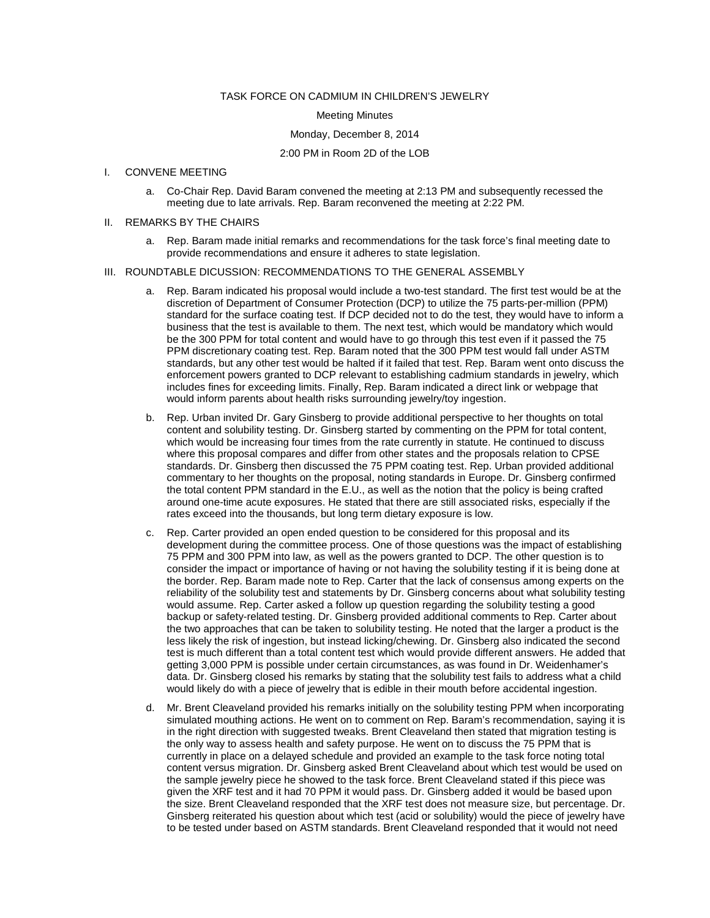## TASK FORCE ON CADMIUM IN CHILDREN'S JEWELRY

#### Meeting Minutes

### Monday, December 8, 2014

# 2:00 PM in Room 2D of the LOB

# I. CONVENE MEETING

a. Co-Chair Rep. David Baram convened the meeting at 2:13 PM and subsequently recessed the meeting due to late arrivals. Rep. Baram reconvened the meeting at 2:22 PM.

#### II. REMARKS BY THE CHAIRS

a. Rep. Baram made initial remarks and recommendations for the task force's final meeting date to provide recommendations and ensure it adheres to state legislation.

### III. ROUNDTABLE DICUSSION: RECOMMENDATIONS TO THE GENERAL ASSEMBLY

- a. Rep. Baram indicated his proposal would include a two-test standard. The first test would be at the discretion of Department of Consumer Protection (DCP) to utilize the 75 parts-per-million (PPM) standard for the surface coating test. If DCP decided not to do the test, they would have to inform a business that the test is available to them. The next test, which would be mandatory which would be the 300 PPM for total content and would have to go through this test even if it passed the 75 PPM discretionary coating test. Rep. Baram noted that the 300 PPM test would fall under ASTM standards, but any other test would be halted if it failed that test. Rep. Baram went onto discuss the enforcement powers granted to DCP relevant to establishing cadmium standards in jewelry, which includes fines for exceeding limits. Finally, Rep. Baram indicated a direct link or webpage that would inform parents about health risks surrounding jewelry/toy ingestion.
- b. Rep. Urban invited Dr. Gary Ginsberg to provide additional perspective to her thoughts on total content and solubility testing. Dr. Ginsberg started by commenting on the PPM for total content, which would be increasing four times from the rate currently in statute. He continued to discuss where this proposal compares and differ from other states and the proposals relation to CPSE standards. Dr. Ginsberg then discussed the 75 PPM coating test. Rep. Urban provided additional commentary to her thoughts on the proposal, noting standards in Europe. Dr. Ginsberg confirmed the total content PPM standard in the E.U., as well as the notion that the policy is being crafted around one-time acute exposures. He stated that there are still associated risks, especially if the rates exceed into the thousands, but long term dietary exposure is low.
- c. Rep. Carter provided an open ended question to be considered for this proposal and its development during the committee process. One of those questions was the impact of establishing 75 PPM and 300 PPM into law, as well as the powers granted to DCP. The other question is to consider the impact or importance of having or not having the solubility testing if it is being done at the border. Rep. Baram made note to Rep. Carter that the lack of consensus among experts on the reliability of the solubility test and statements by Dr. Ginsberg concerns about what solubility testing would assume. Rep. Carter asked a follow up question regarding the solubility testing a good backup or safety-related testing. Dr. Ginsberg provided additional comments to Rep. Carter about the two approaches that can be taken to solubility testing. He noted that the larger a product is the less likely the risk of ingestion, but instead licking/chewing. Dr. Ginsberg also indicated the second test is much different than a total content test which would provide different answers. He added that getting 3,000 PPM is possible under certain circumstances, as was found in Dr. Weidenhamer's data. Dr. Ginsberg closed his remarks by stating that the solubility test fails to address what a child would likely do with a piece of jewelry that is edible in their mouth before accidental ingestion.
- d. Mr. Brent Cleaveland provided his remarks initially on the solubility testing PPM when incorporating simulated mouthing actions. He went on to comment on Rep. Baram's recommendation, saying it is in the right direction with suggested tweaks. Brent Cleaveland then stated that migration testing is the only way to assess health and safety purpose. He went on to discuss the 75 PPM that is currently in place on a delayed schedule and provided an example to the task force noting total content versus migration. Dr. Ginsberg asked Brent Cleaveland about which test would be used on the sample jewelry piece he showed to the task force. Brent Cleaveland stated if this piece was given the XRF test and it had 70 PPM it would pass. Dr. Ginsberg added it would be based upon the size. Brent Cleaveland responded that the XRF test does not measure size, but percentage. Dr. Ginsberg reiterated his question about which test (acid or solubility) would the piece of jewelry have to be tested under based on ASTM standards. Brent Cleaveland responded that it would not need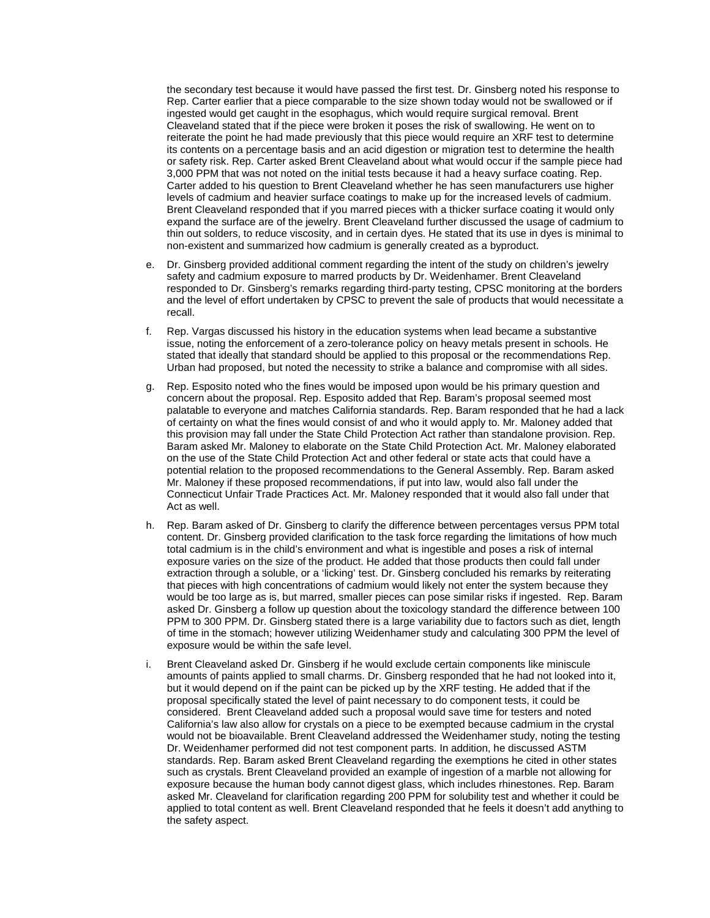the secondary test because it would have passed the first test. Dr. Ginsberg noted his response to Rep. Carter earlier that a piece comparable to the size shown today would not be swallowed or if ingested would get caught in the esophagus, which would require surgical removal. Brent Cleaveland stated that if the piece were broken it poses the risk of swallowing. He went on to reiterate the point he had made previously that this piece would require an XRF test to determine its contents on a percentage basis and an acid digestion or migration test to determine the health or safety risk. Rep. Carter asked Brent Cleaveland about what would occur if the sample piece had 3,000 PPM that was not noted on the initial tests because it had a heavy surface coating. Rep. Carter added to his question to Brent Cleaveland whether he has seen manufacturers use higher levels of cadmium and heavier surface coatings to make up for the increased levels of cadmium. Brent Cleaveland responded that if you marred pieces with a thicker surface coating it would only expand the surface are of the jewelry. Brent Cleaveland further discussed the usage of cadmium to thin out solders, to reduce viscosity, and in certain dyes. He stated that its use in dyes is minimal to non-existent and summarized how cadmium is generally created as a byproduct.

- e. Dr. Ginsberg provided additional comment regarding the intent of the study on children's jewelry safety and cadmium exposure to marred products by Dr. Weidenhamer. Brent Cleaveland responded to Dr. Ginsberg's remarks regarding third-party testing, CPSC monitoring at the borders and the level of effort undertaken by CPSC to prevent the sale of products that would necessitate a recall.
- f. Rep. Vargas discussed his history in the education systems when lead became a substantive issue, noting the enforcement of a zero-tolerance policy on heavy metals present in schools. He stated that ideally that standard should be applied to this proposal or the recommendations Rep. Urban had proposed, but noted the necessity to strike a balance and compromise with all sides.
- g. Rep. Esposito noted who the fines would be imposed upon would be his primary question and concern about the proposal. Rep. Esposito added that Rep. Baram's proposal seemed most palatable to everyone and matches California standards. Rep. Baram responded that he had a lack of certainty on what the fines would consist of and who it would apply to. Mr. Maloney added that this provision may fall under the State Child Protection Act rather than standalone provision. Rep. Baram asked Mr. Maloney to elaborate on the State Child Protection Act. Mr. Maloney elaborated on the use of the State Child Protection Act and other federal or state acts that could have a potential relation to the proposed recommendations to the General Assembly. Rep. Baram asked Mr. Maloney if these proposed recommendations, if put into law, would also fall under the Connecticut Unfair Trade Practices Act. Mr. Maloney responded that it would also fall under that Act as well.
- h. Rep. Baram asked of Dr. Ginsberg to clarify the difference between percentages versus PPM total content. Dr. Ginsberg provided clarification to the task force regarding the limitations of how much total cadmium is in the child's environment and what is ingestible and poses a risk of internal exposure varies on the size of the product. He added that those products then could fall under extraction through a soluble, or a 'licking' test. Dr. Ginsberg concluded his remarks by reiterating that pieces with high concentrations of cadmium would likely not enter the system because they would be too large as is, but marred, smaller pieces can pose similar risks if ingested. Rep. Baram asked Dr. Ginsberg a follow up question about the toxicology standard the difference between 100 PPM to 300 PPM. Dr. Ginsberg stated there is a large variability due to factors such as diet, length of time in the stomach; however utilizing Weidenhamer study and calculating 300 PPM the level of exposure would be within the safe level.
- i. Brent Cleaveland asked Dr. Ginsberg if he would exclude certain components like miniscule amounts of paints applied to small charms. Dr. Ginsberg responded that he had not looked into it, but it would depend on if the paint can be picked up by the XRF testing. He added that if the proposal specifically stated the level of paint necessary to do component tests, it could be considered. Brent Cleaveland added such a proposal would save time for testers and noted California's law also allow for crystals on a piece to be exempted because cadmium in the crystal would not be bioavailable. Brent Cleaveland addressed the Weidenhamer study, noting the testing Dr. Weidenhamer performed did not test component parts. In addition, he discussed ASTM standards. Rep. Baram asked Brent Cleaveland regarding the exemptions he cited in other states such as crystals. Brent Cleaveland provided an example of ingestion of a marble not allowing for exposure because the human body cannot digest glass, which includes rhinestones. Rep. Baram asked Mr. Cleaveland for clarification regarding 200 PPM for solubility test and whether it could be applied to total content as well. Brent Cleaveland responded that he feels it doesn't add anything to the safety aspect.